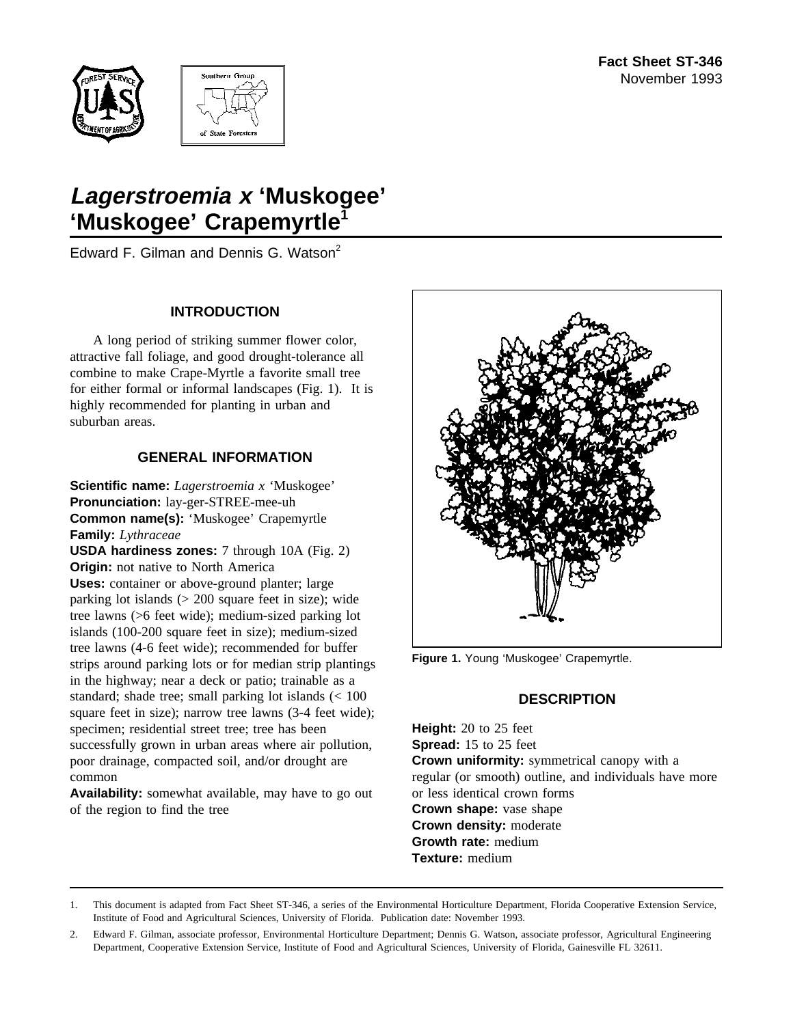



# **Lagerstroemia <sup>x</sup> 'Muskogee'** 'Muskogee' Crapemyrtle<sup>'</sup>

Edward F. Gilman and Dennis G. Watson<sup>2</sup>

#### **INTRODUCTION**

A long period of striking summer flower color, attractive fall foliage, and good drought-tolerance all combine to make Crape-Myrtle a favorite small tree for either formal or informal landscapes (Fig. 1). It is highly recommended for planting in urban and suburban areas.

#### **GENERAL INFORMATION**

**Scientific name:** *Lagerstroemia x* 'Muskogee' **Pronunciation:** lay-ger-STREE-mee-uh **Common name(s):** 'Muskogee' Crapemyrtle **Family:** *Lythraceae* **USDA hardiness zones:** 7 through 10A (Fig. 2)

**Origin:** not native to North America **Uses:** container or above-ground planter; large parking lot islands  $(> 200$  square feet in size); wide tree lawns (>6 feet wide); medium-sized parking lot islands (100-200 square feet in size); medium-sized tree lawns (4-6 feet wide); recommended for buffer strips around parking lots or for median strip plantings in the highway; near a deck or patio; trainable as a standard; shade tree; small parking lot islands (< 100 square feet in size); narrow tree lawns (3-4 feet wide); specimen; residential street tree; tree has been successfully grown in urban areas where air pollution, poor drainage, compacted soil, and/or drought are common

**Availability:** somewhat available, may have to go out of the region to find the tree



**Figure 1.** Young 'Muskogee' Crapemyrtle.

# **DESCRIPTION**

**Height:** 20 to 25 feet **Spread:** 15 to 25 feet **Crown uniformity:** symmetrical canopy with a regular (or smooth) outline, and individuals have more or less identical crown forms **Crown shape:** vase shape **Crown density:** moderate **Growth rate:** medium **Texture:** medium

<sup>1.</sup> This document is adapted from Fact Sheet ST-346, a series of the Environmental Horticulture Department, Florida Cooperative Extension Service, Institute of Food and Agricultural Sciences, University of Florida. Publication date: November 1993.

<sup>2.</sup> Edward F. Gilman, associate professor, Environmental Horticulture Department; Dennis G. Watson, associate professor, Agricultural Engineering Department, Cooperative Extension Service, Institute of Food and Agricultural Sciences, University of Florida, Gainesville FL 32611.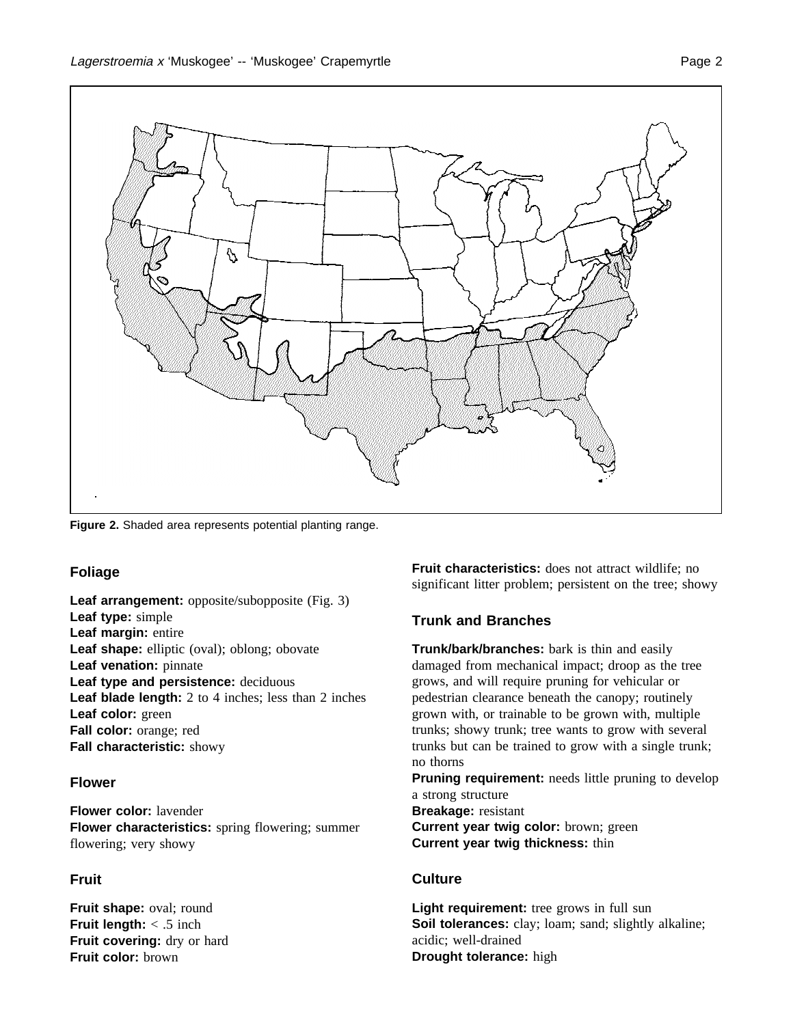

**Figure 2.** Shaded area represents potential planting range.

# **Foliage**

**Leaf arrangement:** opposite/subopposite (Fig. 3) **Leaf type:** simple **Leaf margin:** entire **Leaf shape:** elliptic (oval); oblong; obovate **Leaf venation:** pinnate **Leaf type and persistence:** deciduous **Leaf blade length:** 2 to 4 inches; less than 2 inches **Leaf color:** green **Fall color:** orange; red **Fall characteristic:** showy

# **Flower**

**Flower color:** lavender **Flower characteristics:** spring flowering; summer flowering; very showy

# **Fruit**

**Fruit shape:** oval; round **Fruit length:** < .5 inch **Fruit covering:** dry or hard **Fruit color:** brown

**Fruit characteristics:** does not attract wildlife; no significant litter problem; persistent on the tree; showy

# **Trunk and Branches**

**Trunk/bark/branches:** bark is thin and easily damaged from mechanical impact; droop as the tree grows, and will require pruning for vehicular or pedestrian clearance beneath the canopy; routinely grown with, or trainable to be grown with, multiple trunks; showy trunk; tree wants to grow with several trunks but can be trained to grow with a single trunk; no thorns

**Pruning requirement:** needs little pruning to develop a strong structure **Breakage:** resistant

**Current year twig color:** brown; green **Current year twig thickness:** thin

# **Culture**

**Light requirement:** tree grows in full sun **Soil tolerances:** clay; loam; sand; slightly alkaline; acidic; well-drained **Drought tolerance:** high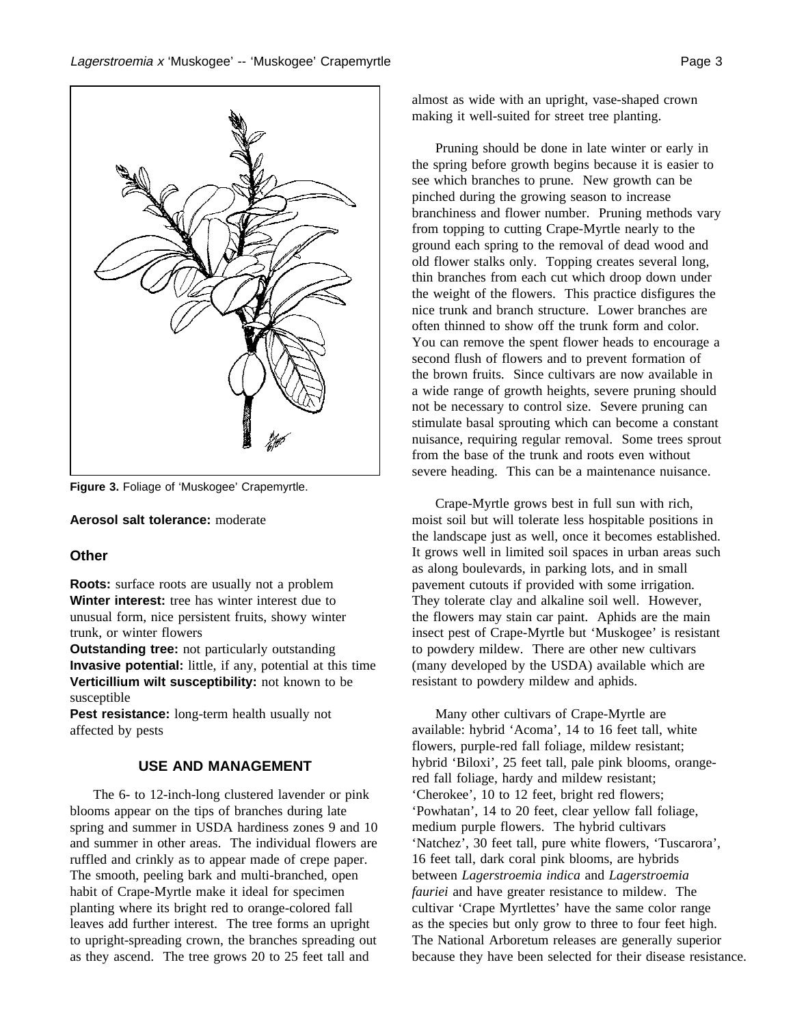

**Figure 3.** Foliage of 'Muskogee' Crapemyrtle.

**Aerosol salt tolerance:** moderate

#### **Other**

**Roots:** surface roots are usually not a problem **Winter interest:** tree has winter interest due to unusual form, nice persistent fruits, showy winter trunk, or winter flowers

**Outstanding tree:** not particularly outstanding **Invasive potential:** little, if any, potential at this time **Verticillium wilt susceptibility:** not known to be susceptible

**Pest resistance:** long-term health usually not affected by pests

#### **USE AND MANAGEMENT**

The 6- to 12-inch-long clustered lavender or pink blooms appear on the tips of branches during late spring and summer in USDA hardiness zones 9 and 10 and summer in other areas. The individual flowers are ruffled and crinkly as to appear made of crepe paper. The smooth, peeling bark and multi-branched, open habit of Crape-Myrtle make it ideal for specimen planting where its bright red to orange-colored fall leaves add further interest. The tree forms an upright to upright-spreading crown, the branches spreading out as they ascend. The tree grows 20 to 25 feet tall and

almost as wide with an upright, vase-shaped crown making it well-suited for street tree planting.

Pruning should be done in late winter or early in the spring before growth begins because it is easier to see which branches to prune. New growth can be pinched during the growing season to increase branchiness and flower number. Pruning methods vary from topping to cutting Crape-Myrtle nearly to the ground each spring to the removal of dead wood and old flower stalks only. Topping creates several long, thin branches from each cut which droop down under the weight of the flowers. This practice disfigures the nice trunk and branch structure. Lower branches are often thinned to show off the trunk form and color. You can remove the spent flower heads to encourage a second flush of flowers and to prevent formation of the brown fruits. Since cultivars are now available in a wide range of growth heights, severe pruning should not be necessary to control size. Severe pruning can stimulate basal sprouting which can become a constant nuisance, requiring regular removal. Some trees sprout from the base of the trunk and roots even without severe heading. This can be a maintenance nuisance.

Crape-Myrtle grows best in full sun with rich, moist soil but will tolerate less hospitable positions in the landscape just as well, once it becomes established. It grows well in limited soil spaces in urban areas such as along boulevards, in parking lots, and in small pavement cutouts if provided with some irrigation. They tolerate clay and alkaline soil well. However, the flowers may stain car paint. Aphids are the main insect pest of Crape-Myrtle but 'Muskogee' is resistant to powdery mildew. There are other new cultivars (many developed by the USDA) available which are resistant to powdery mildew and aphids.

Many other cultivars of Crape-Myrtle are available: hybrid 'Acoma', 14 to 16 feet tall, white flowers, purple-red fall foliage, mildew resistant; hybrid 'Biloxi', 25 feet tall, pale pink blooms, orangered fall foliage, hardy and mildew resistant; 'Cherokee', 10 to 12 feet, bright red flowers; 'Powhatan', 14 to 20 feet, clear yellow fall foliage, medium purple flowers. The hybrid cultivars 'Natchez', 30 feet tall, pure white flowers, 'Tuscarora', 16 feet tall, dark coral pink blooms, are hybrids between *Lagerstroemia indica* and *Lagerstroemia fauriei* and have greater resistance to mildew. The cultivar 'Crape Myrtlettes' have the same color range as the species but only grow to three to four feet high. The National Arboretum releases are generally superior because they have been selected for their disease resistance.